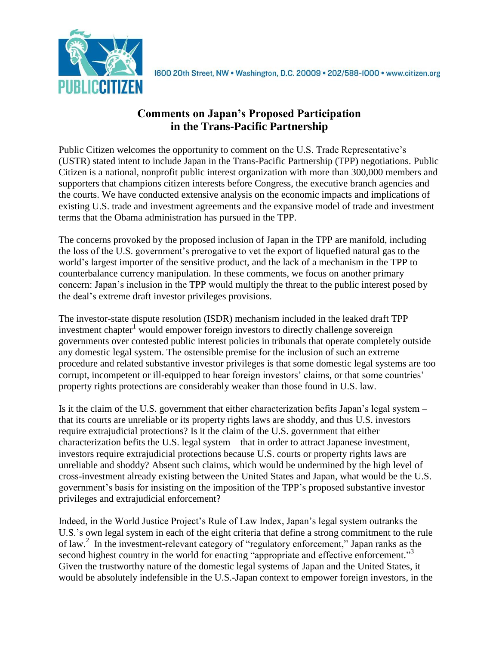

## **Comments on Japan's Proposed Participation in the Trans-Pacific Partnership**

Public Citizen welcomes the opportunity to comment on the U.S. Trade Representative's (USTR) stated intent to include Japan in the Trans-Pacific Partnership (TPP) negotiations. Public Citizen is a national, nonprofit public interest organization with more than 300,000 members and supporters that champions citizen interests before Congress, the executive branch agencies and the courts. We have conducted extensive analysis on the economic impacts and implications of existing U.S. trade and investment agreements and the expansive model of trade and investment terms that the Obama administration has pursued in the TPP.

The concerns provoked by the proposed inclusion of Japan in the TPP are manifold, including the loss of the U.S. government's prerogative to vet the export of liquefied natural gas to the world's largest importer of the sensitive product, and the lack of a mechanism in the TPP to counterbalance currency manipulation. In these comments, we focus on another primary concern: Japan's inclusion in the TPP would multiply the threat to the public interest posed by the deal's extreme draft investor privileges provisions.

The investor-state dispute resolution (ISDR) mechanism included in the leaked draft TPP investment chapter<sup>1</sup> would empower foreign investors to directly challenge sovereign governments over contested public interest policies in tribunals that operate completely outside any domestic legal system. The ostensible premise for the inclusion of such an extreme procedure and related substantive investor privileges is that some domestic legal systems are too corrupt, incompetent or ill-equipped to hear foreign investors' claims, or that some countries' property rights protections are considerably weaker than those found in U.S. law.

Is it the claim of the U.S. government that either characterization befits Japan's legal system – that its courts are unreliable or its property rights laws are shoddy, and thus U.S. investors require extrajudicial protections? Is it the claim of the U.S. government that either characterization befits the U.S. legal system – that in order to attract Japanese investment, investors require extrajudicial protections because U.S. courts or property rights laws are unreliable and shoddy? Absent such claims, which would be undermined by the high level of cross-investment already existing between the United States and Japan, what would be the U.S. government's basis for insisting on the imposition of the TPP's proposed substantive investor privileges and extrajudicial enforcement?

Indeed, in the World Justice Project's Rule of Law Index, Japan's legal system outranks the U.S.'s own legal system in each of the eight criteria that define a strong commitment to the rule of law.<sup>2</sup> In the investment-relevant category of "regulatory enforcement," Japan ranks as the second highest country in the world for enacting "appropriate and effective enforcement."<sup>3</sup> Given the trustworthy nature of the domestic legal systems of Japan and the United States, it would be absolutely indefensible in the U.S.-Japan context to empower foreign investors, in the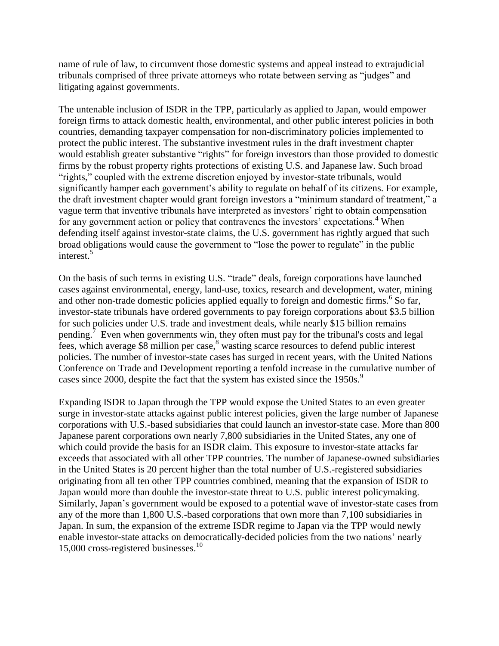name of rule of law, to circumvent those domestic systems and appeal instead to extrajudicial tribunals comprised of three private attorneys who rotate between serving as "judges" and litigating against governments.

The untenable inclusion of ISDR in the TPP, particularly as applied to Japan, would empower foreign firms to attack domestic health, environmental, and other public interest policies in both countries, demanding taxpayer compensation for non-discriminatory policies implemented to protect the public interest. The substantive investment rules in the draft investment chapter would establish greater substantive "rights" for foreign investors than those provided to domestic firms by the robust property rights protections of existing U.S. and Japanese law. Such broad "rights," coupled with the extreme discretion enjoyed by investor-state tribunals, would significantly hamper each government's ability to regulate on behalf of its citizens. For example, the draft investment chapter would grant foreign investors a "minimum standard of treatment," a vague term that inventive tribunals have interpreted as investors' right to obtain compensation for any government action or policy that contravenes the investors' expectations.<sup>4</sup> When defending itself against investor-state claims, the U.S. government has rightly argued that such broad obligations would cause the government to "lose the power to regulate" in the public interest.<sup>5</sup>

On the basis of such terms in existing U.S. "trade" deals, foreign corporations have launched cases against environmental, energy, land-use, toxics, research and development, water, mining and other non-trade domestic policies applied equally to foreign and domestic firms.<sup>6</sup> So far, investor-state tribunals have ordered governments to pay foreign corporations about \$3.5 billion for such policies under U.S. trade and investment deals, while nearly \$15 billion remains pending.<sup>7</sup> Even when governments win, they often must pay for the tribunal's costs and legal fees, which average  $$8$  million per case, $\frac{8}{3}$  wasting scarce resources to defend public interest policies. The number of investor-state cases has surged in recent years, with the United Nations Conference on Trade and Development reporting a tenfold increase in the cumulative number of cases since 2000, despite the fact that the system has existed since the 1950s.<sup>9</sup>

Expanding ISDR to Japan through the TPP would expose the United States to an even greater surge in investor-state attacks against public interest policies, given the large number of Japanese corporations with U.S.-based subsidiaries that could launch an investor-state case. More than 800 Japanese parent corporations own nearly 7,800 subsidiaries in the United States, any one of which could provide the basis for an ISDR claim. This exposure to investor-state attacks far exceeds that associated with all other TPP countries. The number of Japanese-owned subsidiaries in the United States is 20 percent higher than the total number of U.S.-registered subsidiaries originating from all ten other TPP countries combined, meaning that the expansion of ISDR to Japan would more than double the investor-state threat to U.S. public interest policymaking. Similarly, Japan's government would be exposed to a potential wave of investor-state cases from any of the more than 1,800 U.S.-based corporations that own more than 7,100 subsidiaries in Japan. In sum, the expansion of the extreme ISDR regime to Japan via the TPP would newly enable investor-state attacks on democratically-decided policies from the two nations' nearly 15,000 cross-registered businesses. 10